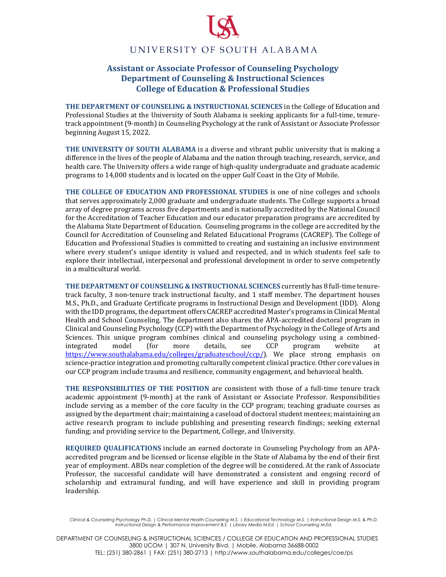## UNIVERSITY OF SOUTH ALABAMA

## **Assistant or Associate Professor of Counseling Psychology Department of Counseling & Instructional Sciences College of Education & Professional Studies**

**THE DEPARTMENT OF COUNSELING & INSTRUCTIONAL SCIENCES** in the College of Education and Professional Studies at the University of South Alabama is seeking applicants for a full-time, tenuretrack appointment (9-month) in Counseling Psychology at the rank of Assistant or Associate Professor beginning August 15, 2022.

**THE UNIVERSITY OF SOUTH ALABAMA** is a diverse and vibrant public university that is making a difference in the lives of the people of Alabama and the nation through teaching, research, service, and health care. The University offers a wide range of high-quality undergraduate and graduate academic programs to 14,000 students and is located on the upper Gulf Coast in the City of Mobile.

**THE COLLEGE OF EDUCATION AND PROFESSIONAL STUDIES** is one of nine colleges and schools that serves approximately 2,000 graduate and undergraduate students. The College supports a broad array of degree programs across five departments and is nationally accredited by the National Council for the Accreditation of Teacher Education and our educator preparation programs are accredited by the Alabama State Department of Education. Counseling programs in the college are accredited by the Council for Accreditation of Counseling and Related Educational Programs (CACREP). The College of Education and Professional Studies is committed to creating and sustaining an inclusive environment where every student's unique identity is valued and respected, and in which students feel safe to explore their intellectual, interpersonal and professional development in order to serve competently in a multicultural world.

**THE DEPARTMENT OF COUNSELING & INSTRUCTIONAL SCIENCES** currently has 8 full-time tenuretrack faculty, 3 non-tenure track instructional faculty, and 1 staff member. The department houses M.S., Ph.D., and Graduate Certificate programs in Instructional Design and Development (IDD). Along with the IDD programs, the department offers CACREP accredited Master's programs in Clinical Mental Health and School Counseling. The department also shares the APA-accredited doctoral program in Clinical and Counseling Psychology (CCP) with the Department of Psychology in the College of Arts and Sciences. This unique program combines clinical and counseling psychology using a combined-<br>
integrated model (for more details, see CCP program website at integrated model (for more details, see CCP program website at https://www.southalabama.edu/colleges/graduateschool/ccp/). We place strong emphasis on science-practice integration and promoting culturally competent clinical practice. Other core values in our CCP program include trauma and resilience, community engagement, and behavioral health.

**THE RESPONSIBILITIES OF THE POSITION** are consistent with those of a full-time tenure track academic appointment (9-month) at the rank of Assistant or Associate Professor. Responsibilities include serving as a member of the core faculty in the CCP program; teaching graduate courses as assigned by the department chair; maintaining a caseload of doctoral student mentees; maintaining an active research program to include publishing and presenting research findings; seeking external funding; and providing service to the Department, College, and University.

**REQUIRED QUALIFICATIONS** include an earned doctorate in Counseling Psychology from an APAaccredited program and be licensed or license eligible in the State of Alabama by the end of their first year of employment. ABDs near completion of the degree will be considered. At the rank of Associate Professor, the successful candidate will have demonstrated a consistent and ongoing record of scholarship and extramural funding, and will have experience and skill in providing program leadership.

DEPARTMENT OF COUNSELING & INSTRUCTIONAL SCIENCES / COLLEGE OF EDUCATION AND PROFESSIONAL STUDIES 3800 UCOM | 307 N. University Blvd. | Mobile, Alabama 36688-0002 TEL: (251) 380-2861 | FAX: (251) 380-2713 | http://www.southalabama.edu/colleges/coe/ps

*Clinical & Counseling Psychology Ph.D. | Clinical Mental Health Counseling M.S. | Educational Technology M.S. | Instructional Design M.S. & Ph.D. Instructional Design & Performance Improvement B.S. | Library Media M.Ed. | School Counseling M.Ed.*